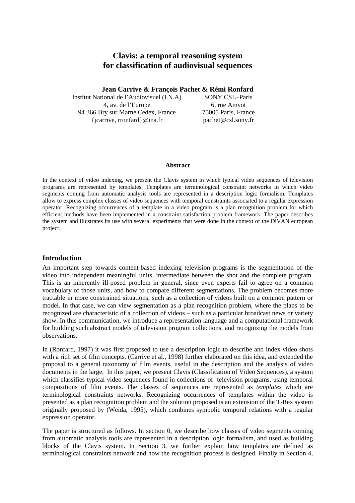# **Clavis: a temporal reasoning system for classification of audiovisual sequences**

**Jean Carrive & François Pachet & Rémi Ronfard** 

Institut National de l'Audiovisuel (I.N.A) SONY CSL–Paris 4, av. de l'Europe 6, rue Amyot 94 366 Bry sur Marne Cedex, France 75005 Paris, France {jcarrive, rronfard}@ina.fr pachet@csl.sony.fr

#### **Abstract**

In the context of video indexing, we present the Clavis system in which typical video sequences of television programs are represented by templates. Templates are terminological constraint networks in which video segments coming from automatic analysis tools are represented in a description logic formalism. Templates allow to express complex classes of video sequences with temporal constraints associated to a regular expression operator. Recognizing occurrences of a template in a video program is a plan recognition problem for which efficient methods have been implemented in a constraint satisfaction problem framework. The paper describes the system and illustrates its use with several experiments that were done in the context of the DiVAN european project.

### **Introduction**

An important step towards content-based indexing television programs is the segmentation of the video into independent meaningful units, intermediate between the shot and the complete program. This is an inherently ill-posed problem in general, since even experts fail to agree on a common vocabulary of those units, and how to compare different segmentations. The problem becomes more tractable in more constrained situations, such as a collection of videos built on a common pattern or model. In that case, we can view segmentation as a plan recognition problem, where the plans to be recognized are characteristic of a collection of videos – such as a particular broadcast news or variety show. In this communication, we introduce a representation language and a computational framework for building such abstract models of television program collections, and recognizing the models from observations.

In (Ronfard, 1997) it was first proposed to use a description logic to describe and index video shots with a rich set of film concepts. (Carrive et al., 1998) further elaborated on this idea, and extended the proposal to a general taxonomy of film events, useful in the description and the analysis of video documents in the large. In this paper, we present Clavis (Classification of Video Sequences), a system which classifies typical video sequences found in collections of television programs, using temporal compositions of film events. The classes of sequences are represented as *templates* which are terminological constraints networks. Recognizing occurrences of templates within the video is presented as a plan recognition problem and the solution proposed is an extension of the T-Rex system originally proposed by (Weida, 1995), which combines symbolic temporal relations with a regular expression operator.

The paper is structured as follows. In section 0, we describe how classes of video segments coming from automatic analysis tools are represented in a description logic formalism, and used as building blocks of the Clavis system. In Section 3, we further explain how templates are defined as terminological constraints network and how the recognition process is designed. Finally in Section 4,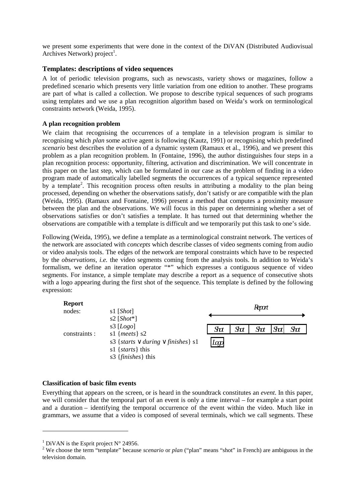we present some experiments that were done in the context of the DiVAN (Distributed Audiovisual Archives Network) project<sup>1</sup>.

### **Templates: descriptions of video sequences**

A lot of periodic television programs, such as newscasts, variety shows or magazines, follow a predefined scenario which presents very little variation from one edition to another. These programs are part of what is called a collection. We propose to describe typical sequences of such programs using templates and we use a plan recognition algorithm based on Weida's work on terminological constraints network (Weida, 1995).

### **A plan recognition problem**

We claim that recognising the occurrences of a template in a television program is similar to recognising which *plan* some active agent is following (Kautz, 1991) or recognising which predefined *scenario* best describes the evolution of a dynamic system (Ramaux et al., 1996), and we present this problem as a plan recognition problem. In (Fontaine, 1996), the author distinguishes four steps in a plan recognition process: opportunity, filtering, activation and discrimination. We will concentrate in this paper on the last step, which can be formulated in our case as the problem of finding in a video program made of automatically labelled segments the occurrences of a typical sequence represented by a template<sup>2</sup>. This recognition process often results in attributing a modality to the plan being processed, depending on whether the observations satisfy, don't satisfy or are compatible with the plan (Weida, 1995). (Ramaux and Fontaine, 1996) present a method that computes a proximity measure between the plan and the observations. We will focus in this paper on determining whether a set of observations satisfies or don't satisfies a template. It has turned out that determining whether the observations are compatible with a template is difficult and we temporarily put this task to one's side.

Following (Weida, 1995), we define a template as a terminological constraint network. The vertices of the network are associated with *concepts* which describe classes of video segments coming from audio or video analysis tools. The edges of the network are temporal constraints which have to be respected by the *observations*, *i.e.* the video segments coming from the analysis tools. In addition to Weida's formalism, we define an iteration operator "\*" which expresses a contiguous sequence of video segments. For instance, a simple template may describe a report as a sequence of consecutive shots with a logo appearing during the first shot of the sequence. This template is defined by the following expression:



### **Classification of basic film events**

Everything that appears on the screen, or is heard in the soundtrack constitutes an *event*. In this paper, we will consider that the temporal part of an event is only a time interval – for example a start point and a duration – identifying the temporal occurrence of the event within the video. Much like in grammars, we assume that a video is composed of several terminals, which we call segments. These

 $\overline{a}$ 

<sup>&</sup>lt;sup>1</sup> DiVAN is the Esprit project  $N^{\circ}$  24956.

<sup>&</sup>lt;sup>2</sup> We choose the term "template" because *scenario* or *plan* ("plan" means "shot" in French) are ambiguous in the television domain.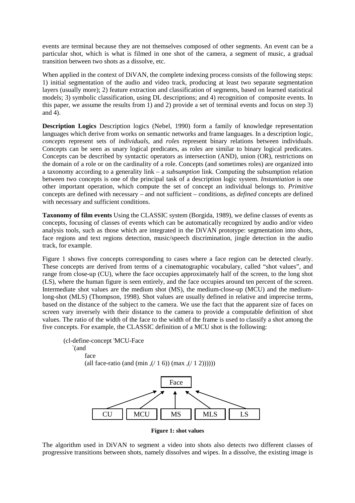events are terminal because they are not themselves composed of other segments. An event can be a particular shot, which is what is filmed in one shot of the camera, a segment of music, a gradual transition between two shots as a dissolve, etc.

When applied in the context of DiVAN, the complete indexing process consists of the following steps: 1) initial segmentation of the audio and video track, producing at least two separate segmentation layers (usually more); 2) feature extraction and classification of segments, based on learned statistical models; 3) symbolic classification, using DL descriptions; and 4) recognition of composite events. In this paper, we assume the results from 1) and 2) provide a set of terminal events and focus on step 3) and 4).

**Description Logics** Description logics (Nebel, 1990) form a family of knowledge representation languages which derive from works on semantic networks and frame languages. In a description logic, *concepts* represent sets of *individuals*, and *roles* represent binary relations between individuals. Concepts can be seen as unary logical predicates, as roles are similar to binary logical predicates. Concepts can be described by syntactic operators as intersection (AND), union (OR), restrictions on the domain of a role or on the cardinality of a role. Concepts (and sometimes roles) are organized into a taxonomy according to a generality link – a *subsumption* link. Computing the subsumption relation between two concepts is one of the principal task of a description logic system. *Instantiation* is one other important operation, which compute the set of concept an individual belongs to. *Primitive* concepts are defined with necessary – and not sufficient – conditions, as *defined* concepts are defined with necessary and sufficient conditions.

**Taxonomy of film events** Using the CLASSIC system (Borgida, 1989), we define classes of events as concepts, focusing of classes of events which can be automatically recognized by audio and/or video analysis tools, such as those which are integrated in the DiVAN prototype: segmentation into shots, face regions and text regions detection, music/speech discrimination, jingle detection in the audio track, for example.

Figure 1 shows five concepts corresponding to cases where a face region can be detected clearly. These concepts are derived from terms of a cinematographic vocabulary, called "shot values", and range from close-up (CU), where the face occupies approximately half of the screen, to the long shot (LS), where the human figure is seen entirely, and the face occupies around ten percent of the screen. Intermediate shot values are the medium shot (MS), the medium-close-up (MCU) and the mediumlong-shot (MLS) (Thompson, 1998). Shot values are usually defined in relative and imprecise terms, based on the distance of the subject to the camera. We use the fact that the apparent size of faces on screen vary inversely with their distance to the camera to provide a computable definition of shot values. The ratio of the width of the face to the width of the frame is used to classify a shot among the five concepts. For example, the CLASSIC definition of a MCU shot is the following:





**Figure 1: shot values** 

The algorithm used in DiVAN to segment a video into shots also detects two different classes of progressive transitions between shots, namely dissolves and wipes. In a dissolve, the existing image is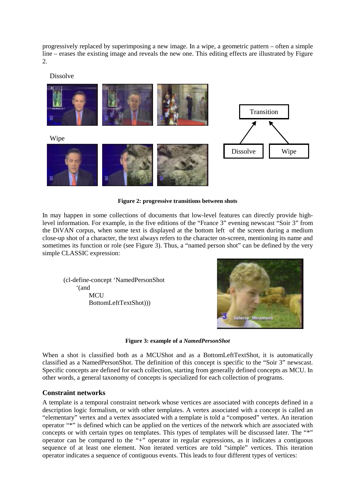progressively replaced by superimposing a new image. In a wipe, a geometric pattern – often a simple line – erases the existing image and reveals the new one. This editing effects are illustrated by Figure 2.

Dissolve



**Figure 2: progressive transitions between shots** 

In may happen in some collections of documents that low-level features can directly provide highlevel information. For example, in the five editions of the "France 3" evening newscast "Soir 3" from the DiVAN corpus, when some text is displayed at the bottom left of the screen during a medium close-up shot of a character, the text always refers to the character on-screen, mentioning its name and sometimes its function or role (see Figure 3). Thus, a "named person shot" can be defined by the very simple CLASSIC expression:

 (cl-define-concept 'NamedPersonShot '(and **MCU** BottomLeftTextShot)))



**Figure 3: example of a** *NamedPersonShot* 

When a shot is classified both as a MCUShot and as a BottomLeftTextShot, it is automatically classified as a NamedPersonShot. The definition of this concept is specific to the "Soir 3" newscast. Specific concepts are defined for each collection, starting from generally defined concepts as MCU. In other words, a general taxonomy of concepts is specialized for each collection of programs.

### **Constraint networks**

A template is a temporal constraint network whose vertices are associated with concepts defined in a description logic formalism, or with other templates. A vertex associated with a concept is called an "elementary" vertex and a vertex associated with a template is told a "composed" vertex. An iteration operator "\*" is defined which can be applied on the vertices of the network which are associated with concepts or with certain types on templates. This types of templates will be discussed later. The "\*" operator can be compared to the " $+$ " operator in regular expressions, as it indicates a contiguous sequence of at least one element. Non iterated vertices are told "simple" vertices. This iteration operator indicates a sequence of contiguous events. This leads to four different types of vertices: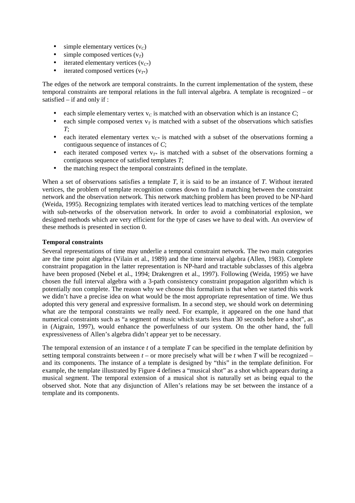- $\bullet$  simple elementary vertices ( $v_c$ )
- simple composed vertices  $(v_T)$
- iterated elementary vertices  $(v_{C^*})$
- iterated composed vertices  $(v_{T^*})$

The edges of the network are temporal constraints. In the current implementation of the system, these temporal constraints are temporal relations in the full interval algebra. A template is recognized – or satisfied – if and only if :

- each simple elementary vertex  $v_c$  is matched with an observation which is an instance  $C$ ;
- each simple composed vertex  $v<sub>T</sub>$  is matched with a subset of the observations which satisfies *T*;
- each iterated elementary vertex  $v_{C*}$  is matched with a subset of the observations forming a contiguous sequence of instances of *C*;
- each iterated composed vertex  $v_{T*}$  is matched with a subset of the observations forming a contiguous sequence of satisfied templates *T*;
- the matching respect the temporal constraints defined in the template.

When a set of observations satisfies a template *T*, it is said to be an instance of *T*. Without iterated vertices, the problem of template recognition comes down to find a matching between the constraint network and the observation network. This network matching problem has been proved to be NP-hard (Weida, 1995). Recognizing templates with iterated vertices lead to matching vertices of the template with sub-networks of the observation network. In order to avoid a combinatorial explosion, we designed methods which are very efficient for the type of cases we have to deal with. An overview of these methods is presented in section 0.

### **Temporal constraints**

Several representations of time may underlie a temporal constraint network. The two main categories are the time point algebra (Vilain et al., 1989) and the time interval algebra (Allen, 1983). Complete constraint propagation in the latter representation is NP-hard and tractable subclasses of this algebra have been proposed (Nebel et al., 1994; Drakengren et al., 1997). Following (Weida, 1995) we have chosen the full interval algebra with a 3-path consistency constraint propagation algorithm which is potentially non complete. The reason why we choose this formalism is that when we started this work we didn't have a precise idea on what would be the most appropriate representation of time. We thus adopted this very general and expressive formalism. In a second step, we should work on determining what are the temporal constraints we really need. For example, it appeared on the one hand that numerical constraints such as "a segment of music which starts less than 30 seconds before a shot", as in (Aigrain, 1997), would enhance the powerfulness of our system. On the other hand, the full expressiveness of Allen's algebra didn't appear yet to be necessary.

The temporal extension of an instance *t* of a template *T* can be specified in the template definition by setting temporal constraints between  $t -$  or more precisely what will be  $t$  when  $T$  will be recognized – and its components. The instance of a template is designed by "this" in the template definition. For example, the template illustrated by Figure 4 defines a "musical shot" as a shot which appears during a musical segment. The temporal extension of a musical shot is naturally set as being equal to the observed shot. Note that any disjunction of Allen's relations may be set between the instance of a template and its components.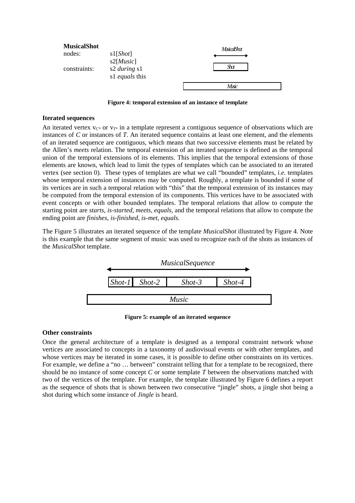

**Figure 4: temporal extension of an instance of template** 

### **Iterated sequences**

An iterated vertex  $v_{\gamma*}$  or  $v_{\gamma*}$  in a template represent a contiguous sequence of observations which are instances of *C* or instances of *T*. An iterated sequence contains at least one element, and the elements of an iterated sequence are contiguous, which means that two successive elements must be related by the Allen's *meets* relation. The temporal extension of an iterated sequence is defined as the temporal union of the temporal extensions of its elements. This implies that the temporal extensions of those elements are known, which lead to limit the types of templates which can be associated to an iterated vertex (see section 0). These types of templates are what we call "bounded" templates, *i.e.* templates whose temporal extension of instances may be computed. Roughly, a template is bounded if some of its vertices are in such a temporal relation with "this" that the temporal extension of its instances may be computed from the temporal extension of its components. This vertices have to be associated with event concepts or with other bounded templates. The temporal relations that allow to compute the starting point are *starts*, *is-started*, *meets*, *equals*, and the temporal relations that allow to compute the ending point are *finishes*, *is-finished*, *is-met*, *equals.* 

The Figure 5 illustrates an iterated sequence of the template *MusicalShot* illustrated by Figure 4. Note is this example that the same segment of music was used to recognize each of the shots as instances of the *MusicalShot* template.



**Figure 5: example of an iterated sequence** 

### **Other constraints**

Once the general architecture of a template is designed as a temporal constraint network whose vertices are associated to concepts in a taxonomy of audiovisual events or with other templates, and whose vertices may be iterated in some cases, it is possible to define other constraints on its vertices. For example, we define a "no ... between" constraint telling that for a template to be recognized, there should be no instance of some concept *C* or some template *T* between the observations matched with two of the vertices of the template. For example, the template illustrated by Figure 6 defines a report as the sequence of shots that is shown between two consecutive "jingle" shots, a jingle shot being a shot during which some instance of *Jingle* is heard.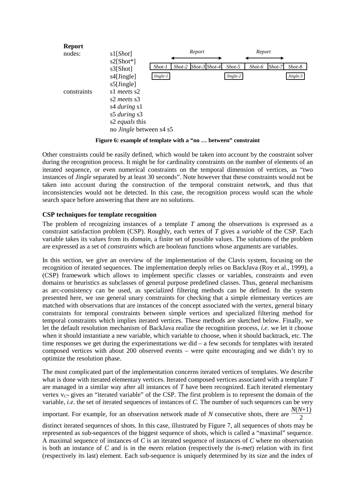

**Figure 6: example of template with a "no … between" constraint** 

Other constraints could be easily defined, which would be taken into account by the constraint solver during the recognition process. It might be for cardinality constraints on the number of elements of an iterated sequence, or even numerical constraints on the temporal dimension of vertices, as "two instances of *Jingle* separated by at least 30 seconds". Note however that these constraints would not be taken into account during the construction of the temporal constraint network, and thus that inconsistencies would not be detected. In this case, the recognition process would scan the whole search space before answering that there are no solutions.

### **CSP techniques for template recognition**

The problem of recognizing instances of a template *T* among the observations is expressed as a constraint satisfaction problem (CSP). Roughly, each vertex of *T* gives a *variable* of the CSP. Each variable takes its values from its *domain*, a finite set of possible values. The solutions of the problem are expressed as a set of *constraints* which are boolean functions whose arguments are variables.

In this section, we give an overview of the implementation of the Clavis system, focusing on the recognition of iterated sequences. The implementation deeply relies on BackJava (Roy et al., 1999), a (CSP) framework which allows to implement specific classes or variables, constraints and even domains or heuristics as subclasses of general purpose predefined classes. Thus, general mechanisms as arc-consistency can be used, as specialized filtering methods can be defined. In the system presented here, we use general unary constraints for checking that a simple elementary vertices are matched with observations that are instances of the concept associated with the vertex, general binary constraints for temporal constraints between simple vertices and specialized filtering method for temporal constraints which implies iterated vertices. These methods are sketched below. Finally, we let the default resolution mechanism of BackJava realize the recognition process, *i.e.* we let it choose when it should instantiate a new variable, which variable to choose, when it should backtrack, etc. The time responses we get during the experimentations we  $\text{did} - \text{a}$  few seconds for templates with iterated composed vertices with about 200 observed events – were quite encouraging and we didn't try to optimize the resolution phase.

The most complicated part of the implementation concerns iterated vertices of templates. We describe what is done with iterated elementary vertices. Iterated composed vertices associated with a template *T*  are managed in a similar way after all instances of *T* have been recognized. Each iterated elementary vertex  $v_{C^*}$  gives an "iterated variable" of the CSP. The first problem is to represent the domain of the variable, *i.e.* the set of iterated sequences of instances of *C*. The number of such sequences can be very  $\frac{N(N+1)}{2}$ 

important. For example, for an observation network made of *N* consecutive shots, there are

distinct iterated sequences of shots. In this case, illustrated by Figure 7, all sequences of shots may be represented as sub-sequences of the biggest sequence of shots, which is called a "maximal" sequence. A maximal sequence of instances of *C* is an iterated sequence of instances of *C* where no observation is both an instance of *C* and is in the *meets* relation (respectively the *is-met*) relation with its first (respectively its last) element. Each sub-sequence is uniquely determined by its size and the index of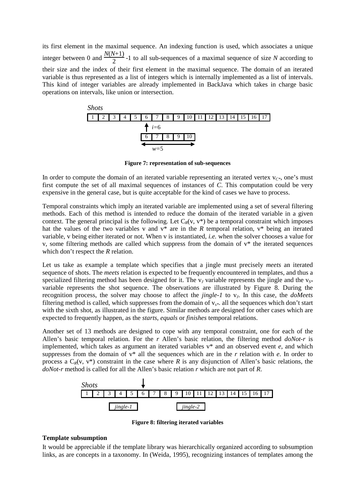its first element in the maximal sequence. An indexing function is used, which associates a unique integer between 0 and  $\frac{N(N+1)}{2}$ -1 to all sub-sequences of a maximal sequence of size *N* according to their size and the index of their first element in the maximal sequence. The domain of an iterated variable is thus represented as a list of integers which is internally implemented as a list of intervals. This kind of integer variables are already implemented in BackJava which takes in charge basic operations on intervals, like union or intersection.



**Figure 7: representation of sub-sequences** 

In order to compute the domain of an iterated variable representing an iterated vertex  $v_{C^*}$ , one's must first compute the set of all maximal sequences of instances of *C*. This computation could be very expensive in the general case, but is quite acceptable for the kind of cases we have to process.

Temporal constraints which imply an iterated variable are implemented using a set of several filtering methods. Each of this method is intended to reduce the domain of the iterated variable in a given context. The general principal is the following. Let  $C_R(v, v^*)$  be a temporal constraint which imposes hat the values of the two variables v and v\* are in the *R* temporal relation, v\* being an iterated variable, v being either iterated or not. When v is instantiated, *i.e.* when the solver chooses a value for v, some filtering methods are called which suppress from the domain of v\* the iterated sequences which don't respect the *R* relation.

Let us take as example a template which specifies that a jingle must precisely *meets* an iterated sequence of shots. The *meets* relation is expected to be frequently encountered in templates, and thus a specialized filtering method has been designed for it. The v<sub>*I*</sub> variable represents the jingle and the v<sub>S\*</sub> variable represents the shot sequence. The observations are illustrated by Figure 8. During the recognition process, the solver may choose to affect the *jingle-1* to v*J*. In this case, the *doMeets* filtering method is called, which suppresses from the domain of v*s\**. all the sequences which don't start with the sixth shot, as illustrated in the figure. Similar methods are designed for other cases which are expected to frequently happen, as the *starts*, *equals* or *finishes* temporal relations.

Another set of 13 methods are designed to cope with any temporal constraint, one for each of the Allen's basic temporal relation. For the *r* Allen's basic relation, the filtering method *doNot-r* is implemented, which takes as argument an iterated variables v\* and an observed event *e*, and which suppresses from the domain of v\* all the sequences which are in the *r* relation with *e*. In order to process a  $C_R(v, v^*)$  constraint in the case where *R* is any disjunction of Allen's basic relations, the *doNot-r* method is called for all the Allen's basic relation *r* which are not part of *R*.



**Figure 8: filtering iterated variables** 

### **Template subsumption**

It would be appreciable if the template library was hierarchically organized according to subsumption links, as are concepts in a taxonomy. In (Weida, 1995), recognizing instances of templates among the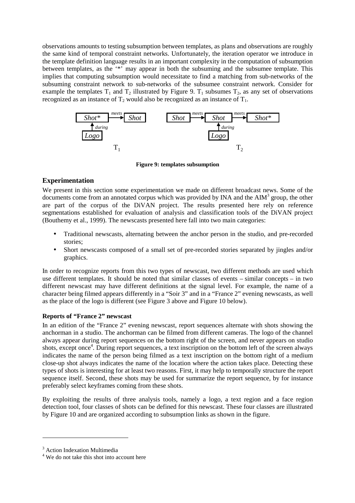observations amounts to testing subsumption between templates, as plans and observations are roughly the same kind of temporal constraint networks. Unfortunately, the iteration operator we introduce in the template definition language results in an important complexity in the computation of subsumption between templates, as the '\*' may appear in both the subsuming and the subsumee template. This implies that computing subsumption would necessitate to find a matching from sub-networks of the subsuming constraint network to sub-networks of the subsumee constraint network. Consider for example the templates  $T_1$  and  $T_2$  illustrated by Figure 9.  $T_1$  subsumes  $T_2$ , as any set of observations recognized as an instance of  $T_2$  would also be recognized as an instance of  $T_1$ .



**Figure 9: templates subsumption** 

## **Experimentation**

We present in this section some experimentation we made on different broadcast news. Some of the documents come from an annotated corpus which was provided by INA and the  $\text{AIM}^3$  group, the other are part of the corpus of the DiVAN project. The results presented here rely on reference segmentations established for evaluation of analysis and classification tools of the DiVAN project (Bouthemy et al., 1999). The newscasts presented here fall into two main categories:

- Traditional newscasts, alternating between the anchor person in the studio, and pre-recorded stories;
- Short newscasts composed of a small set of pre-recorded stories separated by jingles and/or graphics.

In order to recognize reports from this two types of newscast, two different methods are used which use different templates. It should be noted that similar classes of events – similar concepts – in two different newscast may have different definitions at the signal level. For example, the name of a character being filmed appears differently in a "Soir 3" and in a "France 2" evening newscasts, as well as the place of the logo is different (see Figure 3 above and Figure 10 below).

### **Reports of "France 2" newscast**

In an edition of the "France 2" evening newscast, report sequences alternate with shots showing the anchorman in a studio. The anchorman can be filmed from different cameras. The logo of the channel always appear during report sequences on the bottom right of the screen, and never appears on studio shots, except once<sup>4</sup>. During report sequences, a text inscription on the bottom left of the screen always indicates the name of the person being filmed as a text inscription on the bottom right of a medium close-up shot always indicates the name of the location where the action takes place. Detecting these types of shots is interesting for at least two reasons. First, it may help to temporally structure the report sequence itself. Second, these shots may be used for summarize the report sequence, by for instance preferably select keyframes coming from these shots.

By exploiting the results of three analysis tools, namely a logo, a text region and a face region detection tool, four classes of shots can be defined for this newscast. These four classes are illustrated by Figure 10 and are organized according to subsumption links as shown in the figure.

 $\overline{a}$ 

<sup>&</sup>lt;sup>3</sup> Action Indexation Multimedia

<sup>&</sup>lt;sup>4</sup> We do not take this shot into account here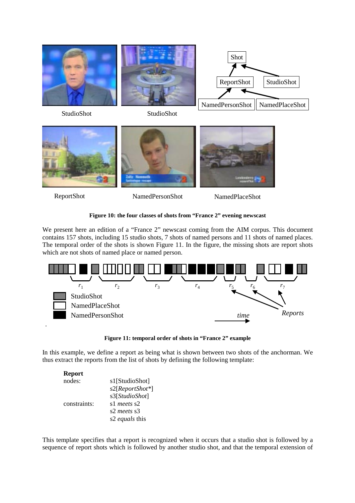



ReportShot NamedPersonShot NamedPlaceShot

## **Figure 10: the four classes of shots from "France 2" evening newscast**

We present here an edition of a "France 2" newscast coming from the AIM corpus. This document contains 157 shots, including 15 studio shots, 7 shots of named persons and 11 shots of named places. The temporal order of the shots is shown Figure 11. In the figure, the missing shots are report shots which are not shots of named place or named person.



**Figure 11: temporal order of shots in "France 2" example** 

In this example, we define a report as being what is shown between two shots of the anchorman. We thus extract the reports from the list of shots by defining the following template:

| <b>Report</b> |                 |
|---------------|-----------------|
| nodes:        | s1[StudioShot]  |
|               | s2[ReportShot*] |
|               | s3[StudioShot]  |
| constraints:  | s1 meets s2     |
|               | s2 meets s3     |
|               | s2 equals this  |

This template specifies that a report is recognized when it occurs that a studio shot is followed by a sequence of report shots which is followed by another studio shot, and that the temporal extension of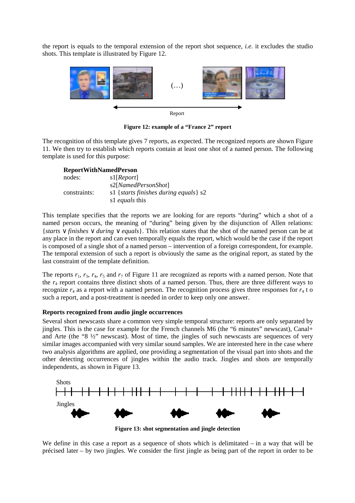the report is equals to the temporal extension of the report shot sequence, *i.e.* it excludes the studio shots. This template is illustrated by Figure 12.



**Figure 12: example of a "France 2" report** 

The recognition of this template gives 7 reports, as expected. The recognized reports are shown Figure 11. We then try to establish which reports contain at least one shot of a named person. The following template is used for this purpose:

### **ReportWithNamedPerson**

| nodes:       | s1[Report]                              |
|--------------|-----------------------------------------|
|              | s2[ <i>NamedPersonShot</i> ]            |
| constraints: | s1 {starts finishes during equals} $s2$ |
|              | s1 <i>equals</i> this                   |

This template specifies that the reports we are looking for are reports "during" which a shot of a named person occurs, the meaning of "during" being given by the disjunction of Allen relations: {*starts* ∨ *finishes* ∨ *during* ∨ *equals*}. This relation states that the shot of the named person can be at any place in the report and can even temporally equals the report, which would be the case if the report is composed of a single shot of a named person – intervention of a foreign correspondent, for example. The temporal extension of such a report is obviously the same as the original report, as stated by the last constraint of the template definition.

The reports  $r_1$ ,  $r_3$ ,  $r_4$ ,  $r_5$  and  $r_7$  of Figure 11 are recognized as reports with a named person. Note that the  $r_4$  report contains three distinct shots of a named person. Thus, there are three different ways to recognize  $r_4$  as a report with a named person. The recognition process gives three responses for  $r_4$  t o such a report, and a post-treatment is needed in order to keep only one answer.

### **Reports recognized from audio jingle occurrences**

Several short newscasts share a common very simple temporal structure: reports are only separated by iingles. This is the case for example for the French channels M6 (the "6 minutes" newscast), Canal+ and Arte (the "8 ½" newscast). Most of time, the jingles of such newscasts are sequences of very similar images accompanied with very similar sound samples. We are interested here in the case where two analysis algorithms are applied, one providing a segmentation of the visual part into shots and the other detecting occurrences of jingles within the audio track. Jingles and shots are temporally independents, as shown in Figure 13.



**Figure 13: shot segmentation and jingle detection** 

We define in this case a report as a sequence of shots which is delimitated – in a way that will be précised later – by two jingles. We consider the first jingle as being part of the report in order to be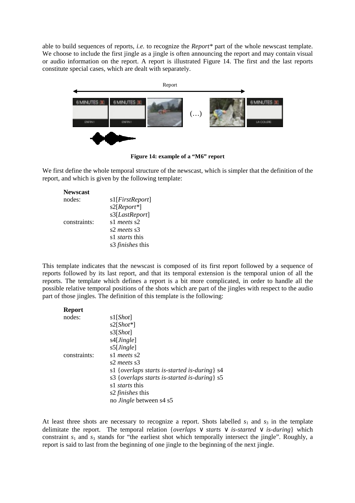able to build sequences of reports, *i.e.* to recognize the *Report\** part of the whole newscast template. We choose to include the first jingle as a jingle is often announcing the report and may contain visual or audio information on the report. A report is illustrated Figure 14. The first and the last reports constitute special cases, which are dealt with separately.



**Figure 14: example of a "M6" report** 

We first define the whole temporal structure of the newscast, which is simpler that the definition of the report, and which is given by the following template:

| <b>Newscast</b> |                         |
|-----------------|-------------------------|
| nodes:          | s1[FirstReport]         |
|                 | $s2[Report*]$           |
|                 | s3[LastReport]          |
| constraints:    | s1 meets s2             |
|                 | s2 meets s3             |
|                 | s1 <i>starts</i> this   |
|                 | s3 <i>finishes</i> this |

This template indicates that the newscast is composed of its first report followed by a sequence of reports followed by its last report, and that its temporal extension is the temporal union of all the reports. The template which defines a report is a bit more complicated, in order to handle all the possible relative temporal positions of the shots which are part of the jingles with respect to the audio part of those jingles. The definition of this template is the following:

| <b>Report</b> |                                                          |
|---------------|----------------------------------------------------------|
| nodes:        | s1[Short]                                                |
|               | $s2[Short*]$                                             |
|               | s3[Short]                                                |
|               | s4[ <i>Jingle</i> ]                                      |
|               | s5[Jingle]                                               |
| constraints:  | s1 meets s2                                              |
|               | s2 meets s3                                              |
|               | s1 { <i>overlaps starts is-started is-during</i> } $s4$  |
|               | s3 { <i>overlaps starts is-started is-during</i> $\}$ s5 |
|               | s1 <i>starts</i> this                                    |
|               | s2 <i>finishes</i> this                                  |
|               | no <i>Jingle</i> between s4 s5                           |

At least three shots are necessary to recognize a report. Shots labelled  $s_1$  and  $s_3$  in the template delimitate the report. The temporal relation {*overlaps* ∨ *starts* ∨ *is-started* ∨ *is-during*} which constraint  $s_1$  and  $s_3$  stands for "the earliest shot which temporally intersect the jingle". Roughly, a report is said to last from the beginning of one jingle to the beginning of the next jingle.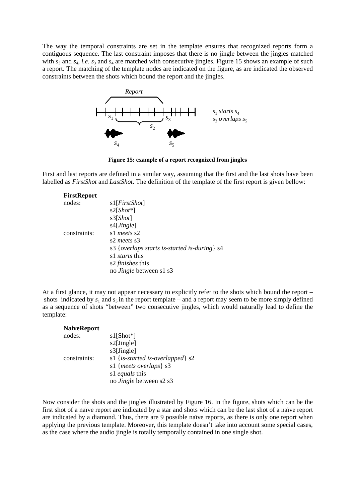The way the temporal constraints are set in the template ensures that recognized reports form a contiguous sequence. The last constraint imposes that there is no jingle between the jingles matched with  $s_3$  and  $s_4$ , *i.e.*  $s_3$  and  $s_4$  are matched with consecutive jingles. Figure 15 shows an example of such a report. The matching of the template nodes are indicated on the figure, as are indicated the observed constraints between the shots which bound the report and the jingles.



**Figure 15: example of a report recognized from jingles** 

First and last reports are defined in a similar way, assuming that the first and the last shots have been labelled as *FirstShot* and *LastShot*. The definition of the template of the first report is given bellow:

| <b>FirstReport</b> |                                                       |
|--------------------|-------------------------------------------------------|
| nodes:             | s1[ <i>FirstShot</i> ]                                |
|                    | $s2[Short*]$                                          |
|                    | s3[Short]                                             |
|                    | s4[ <i>Jingle</i> ]                                   |
| constraints:       | s1 meets s2                                           |
|                    | s2 meets s3                                           |
|                    | s3 { <i>overlaps starts is-started is-during</i> } s4 |
|                    | s1 <i>starts</i> this                                 |
|                    | s2 <i>finishes</i> this                               |
|                    | no <i>Jingle</i> between s1 s3                        |

At a first glance, it may not appear necessary to explicitly refer to the shots which bound the report – shots indicated by  $s_1$  and  $s_3$  in the report template – and a report may seem to be more simply defined as a sequence of shots "between" two consecutive jingles, which would naturally lead to define the template:

| <b>NaiveReport</b> |                                             |
|--------------------|---------------------------------------------|
| nodes:             | $s1[Short*]$                                |
|                    | s2[Jingle]                                  |
|                    | s3[Jingle]                                  |
| constraints:       | s1 { <i>is-started is-overlapped</i> } $s2$ |
|                    | s1 { <i>meets overlaps</i> } s3             |
|                    | s1 equals this                              |
|                    | no <i>Jingle</i> between s2 s3              |

Now consider the shots and the jingles illustrated by Figure 16. In the figure, shots which can be the first shot of a naïve report are indicated by a star and shots which can be the last shot of a naïve report are indicated by a diamond. Thus, there are 9 possible naïve reports, as there is only one report when applying the previous template. Moreover, this template doesn't take into account some special cases, as the case where the audio jingle is totally temporally contained in one single shot.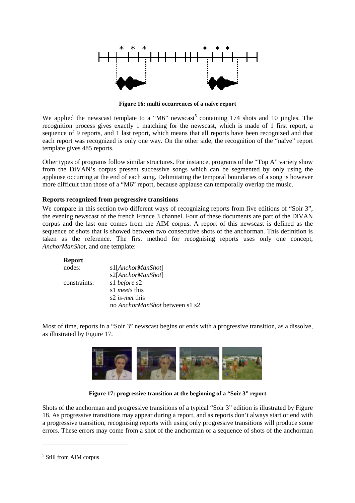

**Figure 16: multi occurrences of a naïve report** 

We applied the newscast template to a "M6" newscast<sup>5</sup> containing 174 shots and 10 jingles. The recognition process gives exactly 1 matching for the newscast, which is made of 1 first report, a sequence of 9 reports, and 1 last report, which means that all reports have been recognized and that each report was recognized is only one way. On the other side, the recognition of the "naïve" report template gives 485 reports.

Other types of programs follow similar structures. For instance, programs of the "Top A" variety show from the DiVAN's corpus present successive songs which can be segmented by only using the applause occurring at the end of each song. Delimitating the temporal boundaries of a song is however more difficult than those of a "M6" report, because applause can temporally overlap the music.

### **Reports recognized from progressive transitions**

We compare in this section two different ways of recognizing reports from five editions of "Soir 3", the evening newscast of the french France 3 channel. Four of these documents are part of the DiVAN corpus and the last one comes from the AIM corpus. A report of this newscast is defined as the sequence of shots that is showed between two consecutive shots of the anchorman. This definition is taken as the reference. The first method for recognising reports uses only one concept, *AnchorManShot*, and one template:

### **Report**

| nodes:       | s1[AnchorManShot]              |
|--------------|--------------------------------|
|              | s2[AnchorManShot]              |
| constraints: | s1 before s2                   |
|              | s1 <i>meets</i> this           |
|              | s2 <i>is-met</i> this          |
|              | no AnchorManShot between s1 s2 |

Most of time, reports in a "Soir 3" newscast begins or ends with a progressive transition, as a dissolve, as illustrated by Figure 17.



**Figure 17: progressive transition at the beginning of a "Soir 3" report** 

Shots of the anchorman and progressive transitions of a typical "Soir 3" edition is illustrated by Figure 18. As progressive transitions may appear during a report, and as reports don't always start or end with a progressive transition, recognising reports with using only progressive transitions will produce some errors. These errors may come from a shot of the anchorman or a sequence of shots of the anchorman

 $\overline{a}$ 

<sup>5</sup> Still from AIM corpus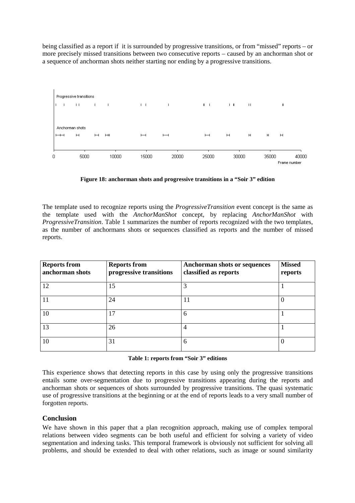being classified as a report if it is surrounded by progressive transitions, or from "missed" reports – or more precisely missed transitions between two consecutive reports – caused by an anchorman shot or a sequence of anchorman shots neither starting nor ending by a progressive transitions.



**Figure 18: anchorman shots and progressive transitions in a "Soir 3" edition** 

The template used to recognize reports using the *ProgressiveTransition* event concept is the same as the template used with the *AnchorManShot* concept, by replacing *AnchorManShot* with *ProgressiveTransition*. Table 1 summarizes the number of reports recognized with the two templates, as the number of anchormans shots or sequences classified as reports and the number of missed reports.

| <b>Reports from</b><br>anchorman shots | <b>Reports from</b><br>progressive transitions | Anchorman shots or sequences<br>classified as reports | <b>Missed</b><br>reports |
|----------------------------------------|------------------------------------------------|-------------------------------------------------------|--------------------------|
| 12                                     | 15                                             |                                                       |                          |
| 11                                     | 24                                             | 11                                                    |                          |
| 10                                     | 17                                             | 6                                                     |                          |
| 13                                     | 26                                             | 4                                                     |                          |
| 10                                     | 31                                             | 6                                                     |                          |

### **Table 1: reports from "Soir 3" editions**

This experience shows that detecting reports in this case by using only the progressive transitions entails some over-segmentation due to progressive transitions appearing during the reports and anchorman shots or sequences of shots surrounded by progressive transitions. The quasi systematic use of progressive transitions at the beginning or at the end of reports leads to a very small number of forgotten reports.

### **Conclusion**

We have shown in this paper that a plan recognition approach, making use of complex temporal relations between video segments can be both useful and efficient for solving a variety of video segmentation and indexing tasks. This temporal framework is obviously not sufficient for solving all problems, and should be extended to deal with other relations, such as image or sound similarity